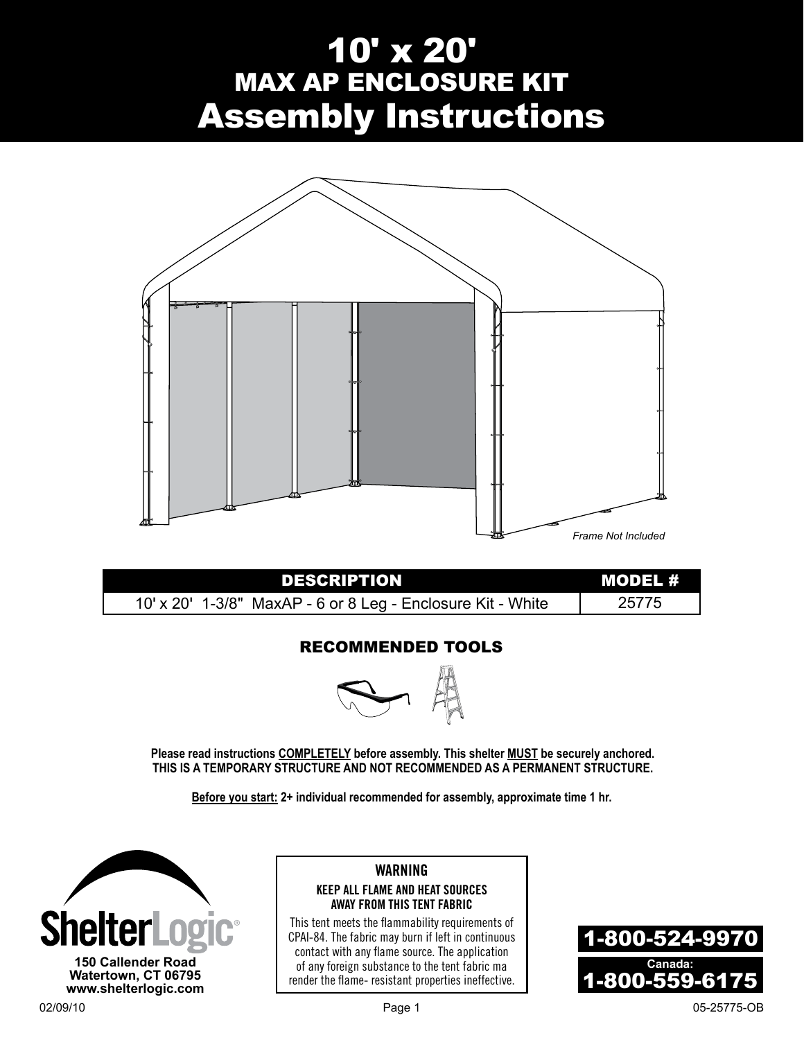# 10' x 20' MAX AP ENCLOSURE KIT Assembly Instructions



| <b>DESCRIPTION</b>                                          | MODEL # |
|-------------------------------------------------------------|---------|
| 10' x 20' 1-3/8" MaxAP - 6 or 8 Leg - Enclosure Kit - White | 25775   |

## Recommended Tools



**Please read instructions COMPLETELY before assembly. This shelter MUST be securely anchored. THIS IS A TEMPORARY STRUCTURE AND NOT RECOMMENDED AS A PERMANENT STRUCTURE.**

**Before you start: 2+ individual recommended for assembly, approximate time 1 hr.**



#### **WARNING KEEP ALL FLAME AND HEAT SOURCES AWAY FROM THIS TENT FABRIC**

This tent meets the flammability requirements of CPAI-84. The fabric may burn if left in continuous contact with any flame source. The application of any foreign substance to the tent fabric ma render the flame- resistant properties ineffective.

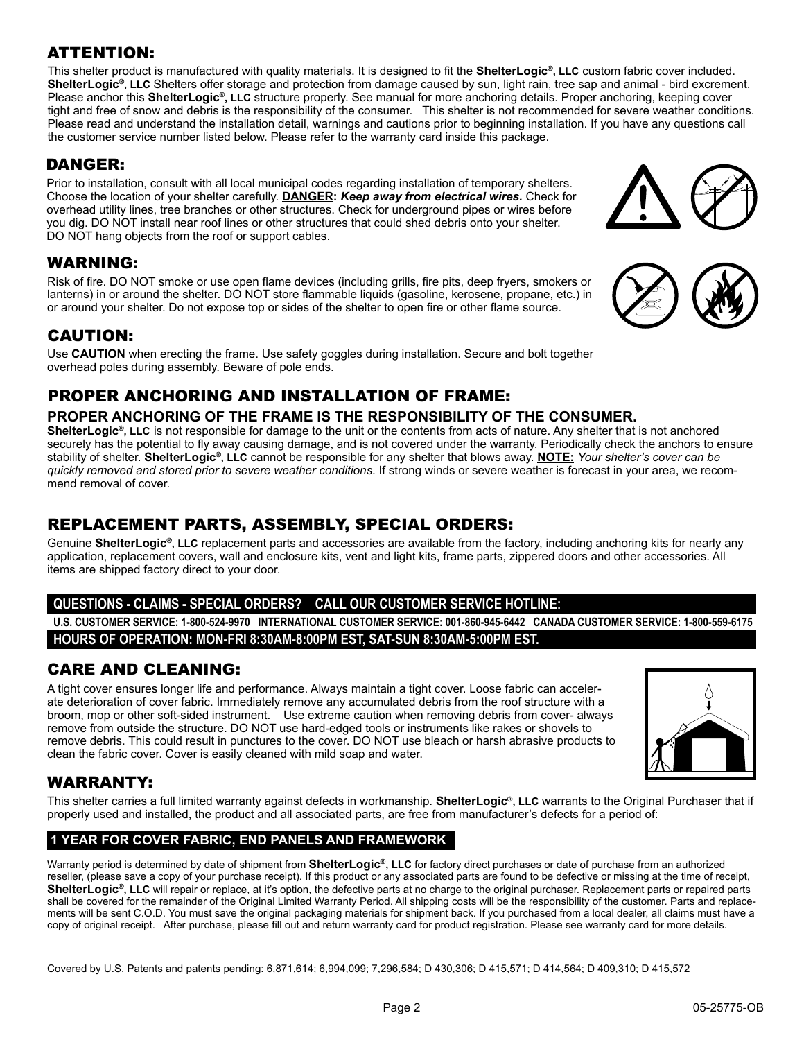## ATTENTION:

This shelter product is manufactured with quality materials. It is designed to fit the **ShelterLogic®, LLC** custom fabric cover included. **ShelterLogic®, LLC** Shelters offer storage and protection from damage caused by sun, light rain, tree sap and animal - bird excrement. Please anchor this **ShelterLogic®, LLC** structure properly. See manual for more anchoring details. Proper anchoring, keeping cover tight and free of snow and debris is the responsibility of the consumer. This shelter is not recommended for severe weather conditions. Please read and understand the installation detail, warnings and cautions prior to beginning installation. If you have any questions call the customer service number listed below. Please refer to the warranty card inside this package.

## DANGER:

Prior to installation, consult with all local municipal codes regarding installation of temporary shelters. Choose the location of your shelter carefully. **Danger:** *Keep away from electrical wires.* Check for overhead utility lines, tree branches or other structures. Check for underground pipes or wires before you dig. DO NOT install near roof lines or other structures that could shed debris onto your shelter. DO NOT hang objects from the roof or support cables.

## WARNING:

Risk of fire. DO NOT smoke or use open flame devices (including grills, fire pits, deep fryers, smokers or lanterns) in or around the shelter. DO NOT store flammable liquids (gasoline, kerosene, propane, etc.) in or around your shelter. Do not expose top or sides of the shelter to open fire or other flame source.

## CAUTION:

Use **CAUTION** when erecting the frame. Use safety goggles during installation. Secure and bolt together overhead poles during assembly. Beware of pole ends.

## PROPER ANCHORING AND INSTALLATION OF FRAME:

#### **PROPER ANCHORING OF THE FRAME IS THE RESPONSIBILITY OF THE CONSUMER.**

**ShelterLogic®, LLC** is not responsible for damage to the unit or the contents from acts of nature. Any shelter that is not anchored securely has the potential to fly away causing damage, and is not covered under the warranty. Periodically check the anchors to ensure stability of shelter. **ShelterLogic®, LLC** cannot be responsible for any shelter that blows away. **NOTE:** *Your shelter's cover can be quickly removed and stored prior to severe weather conditions*. If strong winds or severe weather is forecast in your area, we recommend removal of cover.

## REPLACEMENT PARTS, ASSEMBLY, SPECIAL ORDERS:

Genuine **ShelterLogic®, LLC** replacement parts and accessories are available from the factory, including anchoring kits for nearly any application, replacement covers, wall and enclosure kits, vent and light kits, frame parts, zippered doors and other accessories. All items are shipped factory direct to your door.

#### **Questions - claims - special orders? CALL our Customer Service Hotline:**

**U.S. CUSTOMER SERVICE: 1-800-524-9970 INTERNATIONAL CUSTOMER SERVICE: 001-860-945-6442 CANADA CUSTOMER SERVICE: 1-800-559-6175 HOURS OF OPERATION: MON-FRI 8:30AM-8:00PM EST, SAT-SUN 8:30AM-5:00PM EST.**

## CARE AND CLEANING:

A tight cover ensures longer life and performance. Always maintain a tight cover. Loose fabric can accelerate deterioration of cover fabric. Immediately remove any accumulated debris from the roof structure with a broom, mop or other soft-sided instrument. Use extreme caution when removing debris from cover- always remove from outside the structure. DO NOT use hard-edged tools or instruments like rakes or shovels to remove debris. This could result in punctures to the cover. DO NOT use bleach or harsh abrasive products to clean the fabric cover. Cover is easily cleaned with mild soap and water.

# WARRANTY:

This shelter carries a full limited warranty against defects in workmanship. **ShelterLogic®, LLC** warrants to the Original Purchaser that if properly used and installed, the product and all associated parts, are free from manufacturer's defects for a period of:

#### **1 Year For Cover Fabric, End Panels and Framework**

Warranty period is determined by date of shipment from **ShelterLogic®, LLC** for factory direct purchases or date of purchase from an authorized reseller, (please save a copy of your purchase receipt). If this product or any associated parts are found to be defective or missing at the time of receipt, ShelterLogic<sup>®</sup>, LLC will repair or replace, at it's option, the defective parts at no charge to the original purchaser. Replacement parts or repaired parts shall be covered for the remainder of the Original Limited Warranty Period. All shipping costs will be the responsibility of the customer. Parts and replacements will be sent C.O.D. You must save the original packaging materials for shipment back. If you purchased from a local dealer, all claims must have a copy of original receipt. After purchase, please fill out and return warranty card for product registration. Please see warranty card for more details.

Covered by U.S. Patents and patents pending: 6,871,614; 6,994,099; 7,296,584; D 430,306; D 415,571; D 414,564; D 409,310; D 415,572







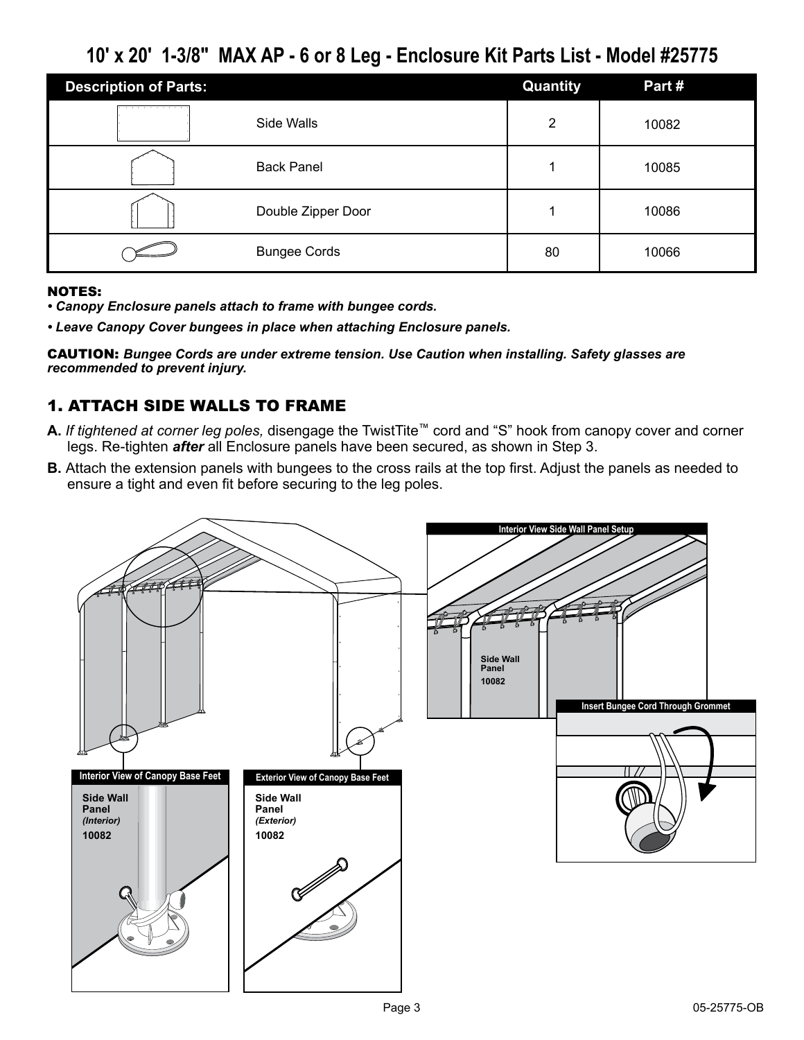## **10' x 20' 1-3/8" MAX AP - 6 or 8 Leg - Enclosure Kit Parts List - Model #25775**

| <b>Description of Parts:</b> |                     | Quantity | Part# |
|------------------------------|---------------------|----------|-------|
| .                            | Side Walls          | っ        | 10082 |
|                              | <b>Back Panel</b>   |          | 10085 |
|                              | Double Zipper Door  |          | 10086 |
|                              | <b>Bungee Cords</b> | 80       | 10066 |

#### NOTES:

- *Canopy Enclosure panels attach to frame with bungee cords.*
- *Leave Canopy Cover bungees in place when attaching Enclosure panels.*

CAUTION: *Bungee Cords are under extreme tension. Use Caution when installing. Safety glasses are recommended to prevent injury.*

## 1. Attach Side walls to Frame

- **A.** *If tightened at corner leg poles,* disengage the TwistTite™ cord and "S" hook from canopy cover and corner legs. Re-tighten *after* all Enclosure panels have been secured, as shown in Step 3.
- **B.** Attach the extension panels with bungees to the cross rails at the top first. Adjust the panels as needed to ensure a tight and even fit before securing to the leg poles.

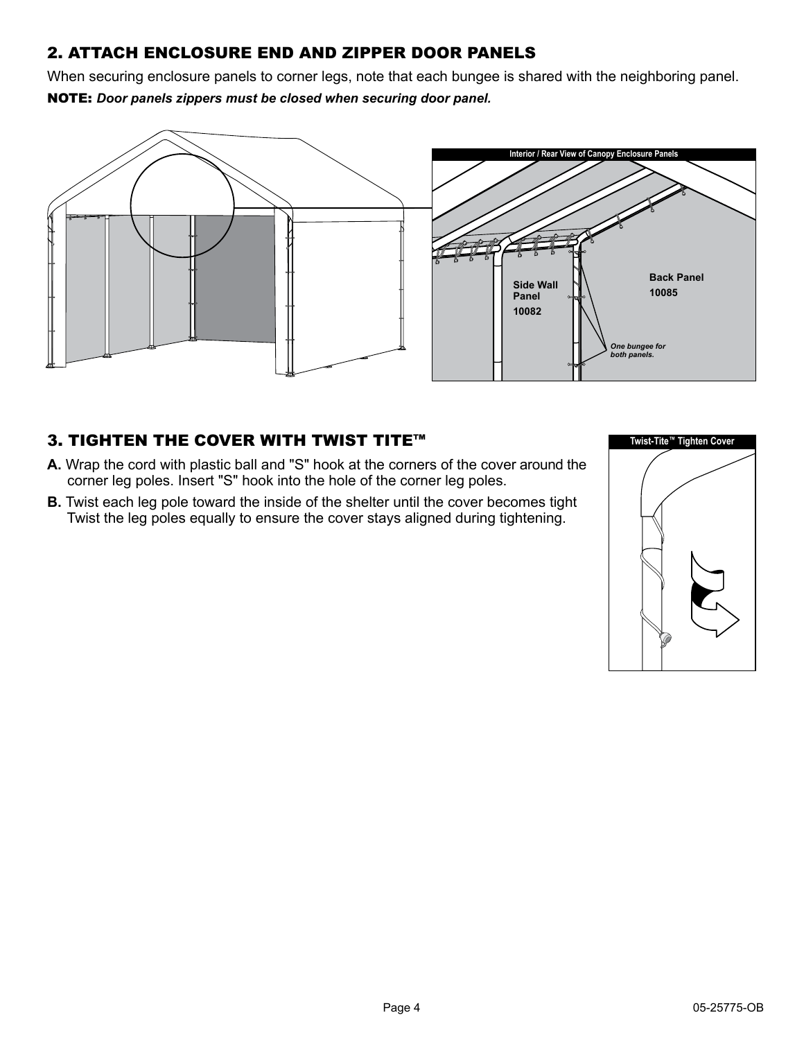## 2. Attach Enclosure End and zipper door panels

When securing enclosure panels to corner legs, note that each bungee is shared with the neighboring panel. NOTE: *Door panels zippers must be closed when securing door panel.*



## 3. Tighten the Cover with Twist Tite™

- **A.** Wrap the cord with plastic ball and "S" hook at the corners of the cover around the corner leg poles. Insert "S" hook into the hole of the corner leg poles.
- **B.** Twist each leg pole toward the inside of the shelter until the cover becomes tight Twist the leg poles equally to ensure the cover stays aligned during tightening.

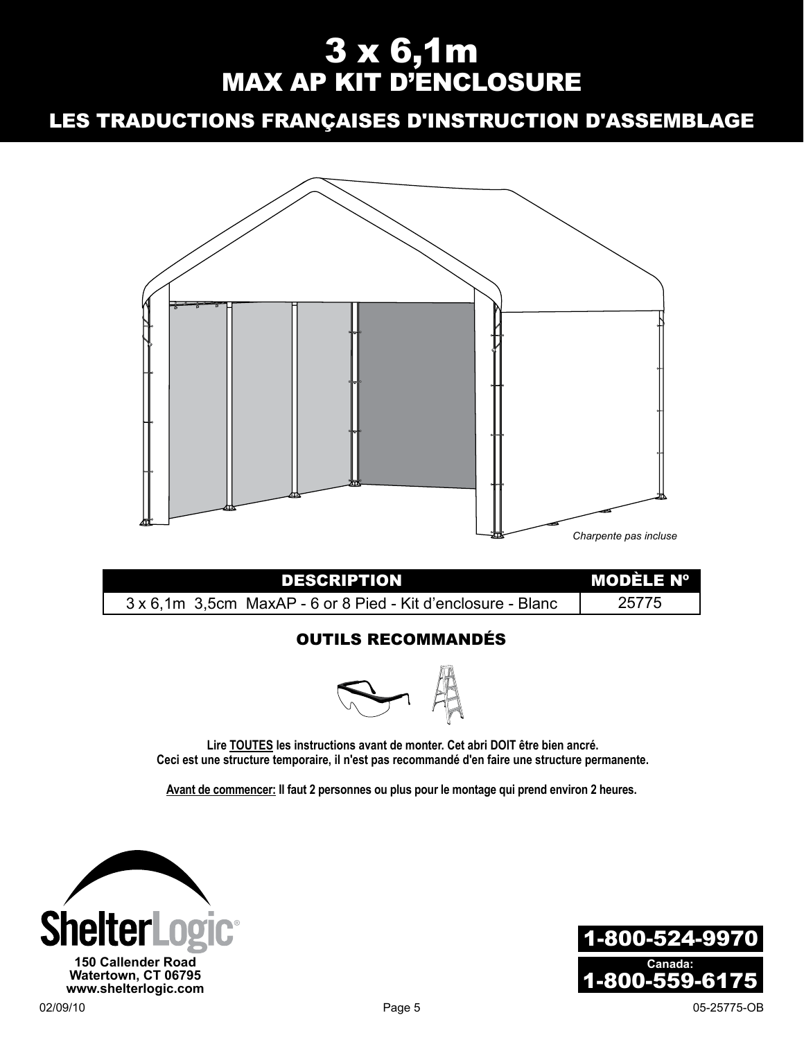# 3 x 6,1m MAX AP KIT D'E

## Les Traductions Françaises D'instruction D'assemblage



## Outils recommandés



**Lire TOUTES les instructions avant de monter. Cet abri DOIT être bien ancré. Ceci est une structure temporaire, il n'est pas recommandé d'en faire une structure permanente.**

**Avant de commencer: Il faut 2 personnes ou plus pour le montage qui prend environ 2 heures.**



1-800-524-9970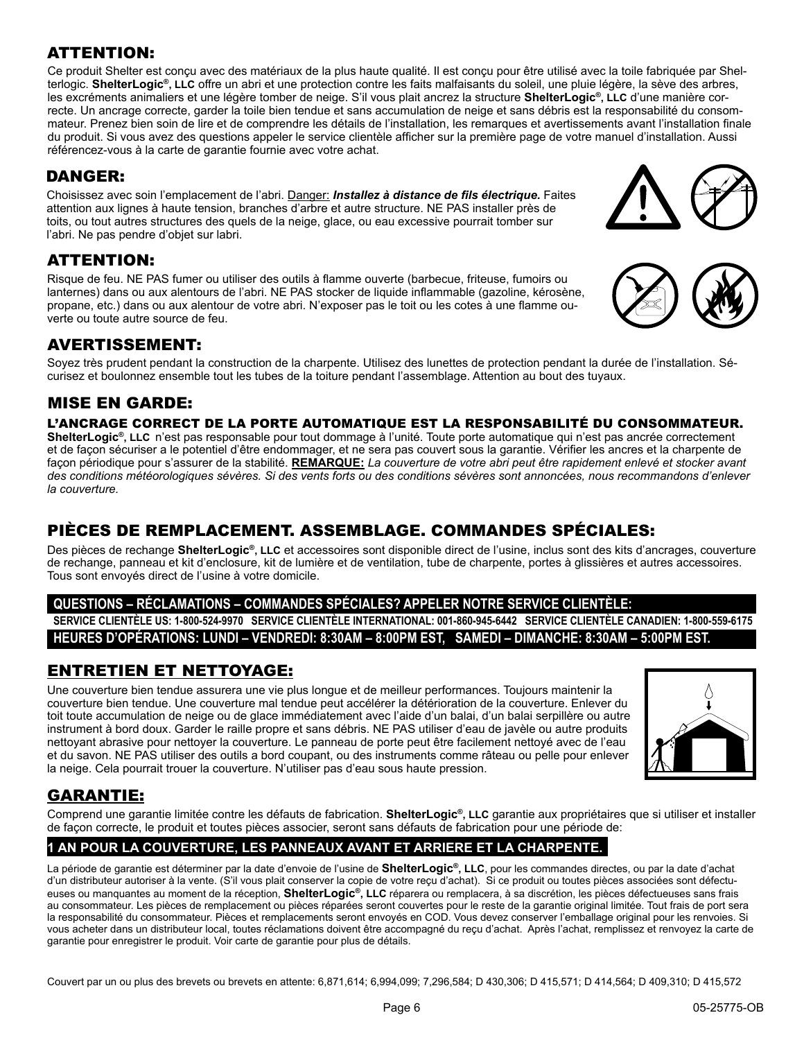## ATTENTION:

Ce produit Shelter est conçu avec des matériaux de la plus haute qualité. Il est conçu pour être utilisé avec la toile fabriquée par Shelterlogic. **ShelterLogic®, LLC** offre un abri et une protection contre les faits malfaisants du soleil, une pluie légère, la sève des arbres, les excréments animaliers et une légère tomber de neige. S'il vous plait ancrez la structure **ShelterLogic®, LLC** d'une manière correcte. Un ancrage correcte, garder la toile bien tendue et sans accumulation de neige et sans débris est la responsabilité du consommateur. Prenez bien soin de lire et de comprendre les détails de l'installation, les remarques et avertissements avant l'installation finale du produit. Si vous avez des questions appeler le service clientèle afficher sur la première page de votre manuel d'installation. Aussi référencez-vous à la carte de garantie fournie avec votre achat.

## DANGER:

Choisissez avec soin l'emplacement de l'abri. Danger: *Installez à distance de fils électrique.* Faites attention aux lignes à haute tension, branches d'arbre et autre structure. NE PAS installer près de toits, ou tout autres structures des quels de la neige, glace, ou eau excessive pourrait tomber sur l'abri. Ne pas pendre d'objet sur labri.

## ATTENTION:

Risque de feu. NE PAS fumer ou utiliser des outils à flamme ouverte (barbecue, friteuse, fumoirs ou lanternes) dans ou aux alentours de l'abri. NE PAS stocker de liquide inflammable (gazoline, kérosène, propane, etc.) dans ou aux alentour de votre abri. N'exposer pas le toit ou les cotes à une flamme ouverte ou toute autre source de feu.

## Avertissement:

Soyez très prudent pendant la construction de la charpente. Utilisez des lunettes de protection pendant la durée de l'installation. Sécurisez et boulonnez ensemble tout les tubes de la toiture pendant l'assemblage. Attention au bout des tuyaux.

## MISE EN GARDE:

#### L'ancrage correct de la porte automatique est la responsabilité du consommateur.

**ShelterLogic®, LLC** n'est pas responsable pour tout dommage à l'unité. Toute porte automatique qui n'est pas ancrée correctement et de façon sécuriser a le potentiel d'être endommager, et ne sera pas couvert sous la garantie. Vérifier les ancres et la charpente de façon périodique pour s'assurer de la stabilité. **REMARQUE:** *La couverture de votre abri peut être rapidement enlevé et stocker avant des conditions météorologiques sévères. Si des vents forts ou des conditions sévères sont annoncées, nous recommandons d'enlever la couverture.* 

## Pièces de remplacement. Assemblage. Commandes Spéciales:

Des pièces de rechange **ShelterLogic®, LLC** et accessoires sont disponible direct de l'usine, inclus sont des kits d'ancrages, couverture de rechange, panneau et kit d'enclosure, kit de lumière et de ventilation, tube de charpente, portes à glissières et autres accessoires. Tous sont envoyés direct de l'usine à votre domicile.

#### **Questions – Réclamations – Commandes spéciales? Appeler notre service clientèle:**

**Service clientèle US: 1-800-524-9970 Service clientèle international: 001-860-945-6442 Service Clientèle Canadien: 1-800-559-6175 Heures d'opérations: Lundi – Vendredi: 8:30am – 8:00pm EST, Samedi – Dimanche: 8:30am – 5:00pm EST.**

## Entretien et nettoyage:

Une couverture bien tendue assurera une vie plus longue et de meilleur performances. Toujours maintenir la couverture bien tendue. Une couverture mal tendue peut accélérer la détérioration de la couverture. Enlever du toit toute accumulation de neige ou de glace immédiatement avec l'aide d'un balai, d'un balai serpillère ou autre instrument à bord doux. Garder le raille propre et sans débris. NE PAS utiliser d'eau de javèle ou autre produits nettoyant abrasive pour nettoyer la couverture. Le panneau de porte peut être facilement nettoyé avec de l'eau et du savon. NE PAS utiliser des outils a bord coupant, ou des instruments comme râteau ou pelle pour enlever la neige. Cela pourrait trouer la couverture. N'utiliser pas d'eau sous haute pression.



## GARANTIE:

Comprend une garantie limitée contre les défauts de fabrication. **ShelterLogic®, LLC** garantie aux propriétaires que si utiliser et installer de façon correcte, le produit et toutes pièces associer, seront sans défauts de fabrication pour une période de:

## **1 AN POUR LA COUVERTURE, LES PANNEAUX AVANT ET ARRIERE ET LA CHARPENTE.**

La période de garantie est déterminer par la date d'envoie de l'usine de **ShelterLogic®, LLC**, pour les commandes directes, ou par la date d'achat d'un distributeur autoriser à la vente. (S'il vous plait conserver la copie de votre reçu d'achat). Si ce produit ou toutes pièces associées sont défectueuses ou manquantes au moment de la réception, **ShelterLogic®, LLC** réparera ou remplacera, à sa discrétion, les pièces défectueuses sans frais au consommateur. Les pièces de remplacement ou pièces réparées seront couvertes pour le reste de la garantie original limitée. Tout frais de port sera la responsabilité du consommateur. Pièces et remplacements seront envoyés en COD. Vous devez conserver l'emballage original pour les renvoies. Si vous acheter dans un distributeur local, toutes réclamations doivent être accompagné du reçu d'achat. Après l'achat, remplissez et renvoyez la carte de garantie pour enregistrer le produit. Voir carte de garantie pour plus de détails.

Couvert par un ou plus des brevets ou brevets en attente: 6,871,614; 6,994,099; 7,296,584; D 430,306; D 415,571; D 414,564; D 409,310; D 415,572



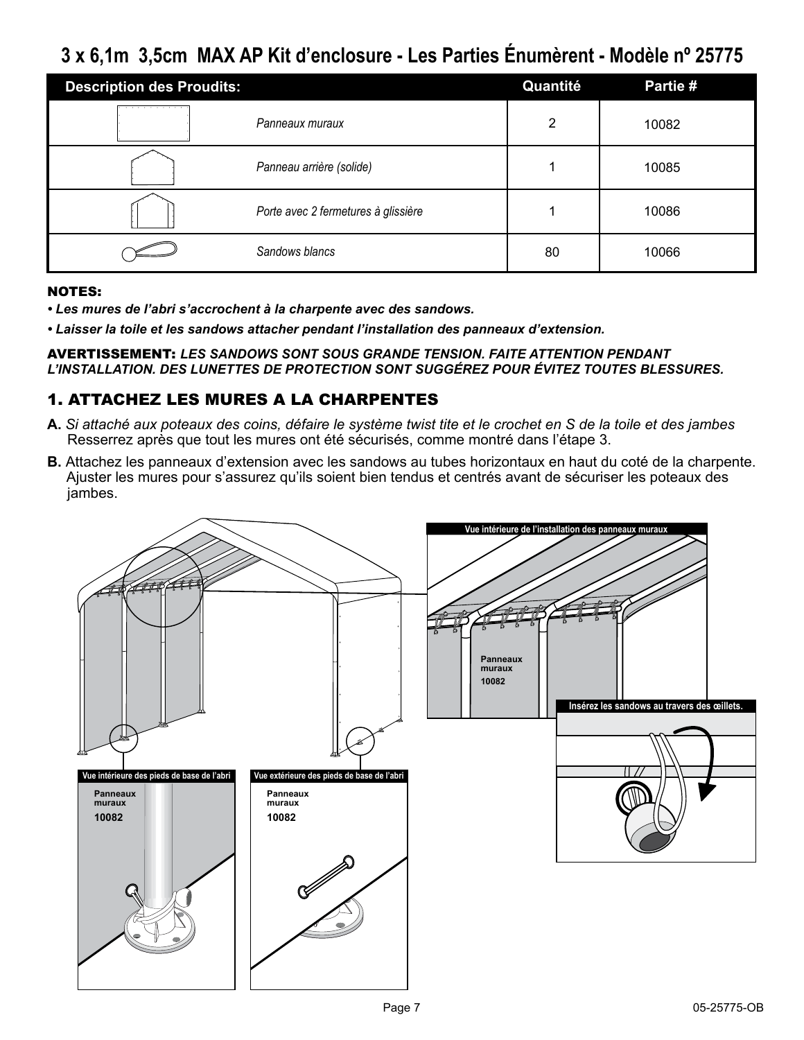## **3 x 6,1m 3,5cm MAX AP Kit d'enclosure - Les Parties Énumèrent - Modèle nº 25775**

| <b>Description des Proudits:</b> |                                     | Quantité | Partie # |
|----------------------------------|-------------------------------------|----------|----------|
|                                  | Panneaux muraux                     | າ        | 10082    |
|                                  | Panneau arrière (solide)            |          | 10085    |
|                                  | Porte avec 2 fermetures à glissière |          | 10086    |
|                                  | Sandows blancs                      | 80       | 10066    |

#### NOTES:

- *Les mures de l'abri s'accrochent à la charpente avec des sandows.*
- *Laisser la toile et les sandows attacher pendant l'installation des panneaux d'extension.*

AVERTISSEMENT: *Les sandows sont sous grande tension. Faite attention pendant l'installation. Des lunettes de protection sont suggérez pour évitez toutes blessures.*

## 1. ATTACHEZ LES MURES A LA CHARPENTES

- **A.** *Si attaché aux poteaux des coins, défaire le système twist tite et le crochet en S de la toile et des jambes* Resserrez après que tout les mures ont été sécurisés, comme montré dans l'étape 3.
- **B.** Attachez les panneaux d'extension avec les sandows au tubes horizontaux en haut du coté de la charpente. Ajuster les mures pour s'assurez qu'ils soient bien tendus et centrés avant de sécuriser les poteaux des jambes.

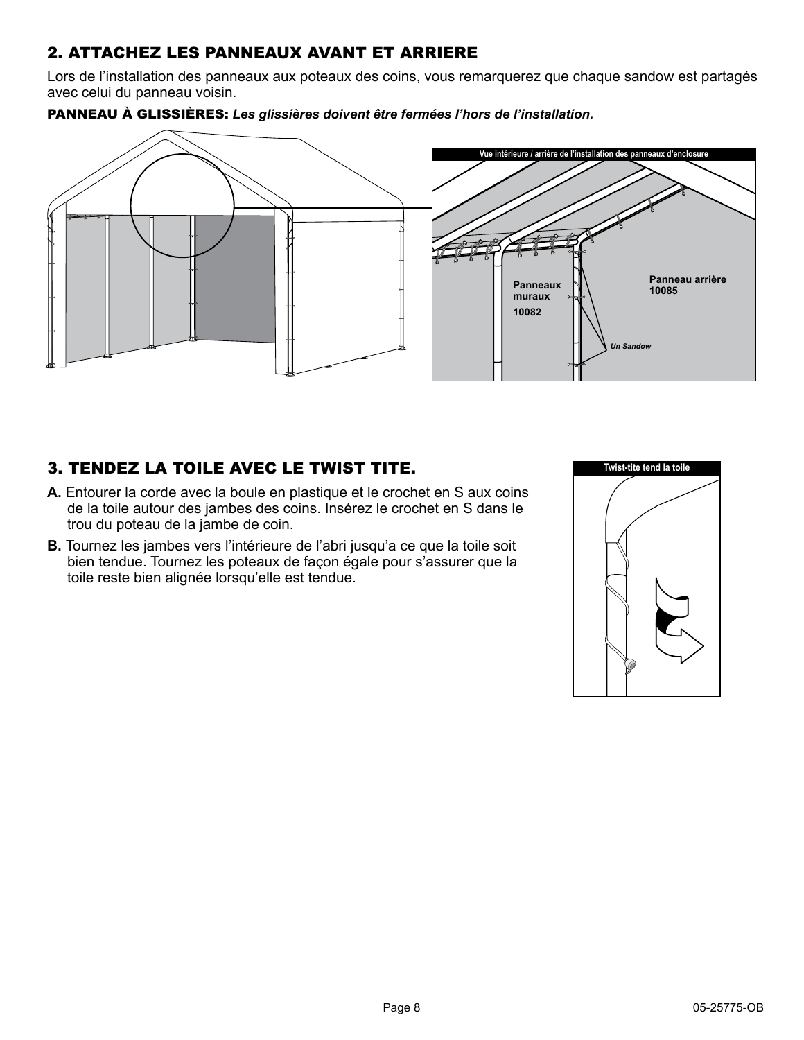## 2. ATTACHEZ LES PANNEAUX AVANT ET ARRIERE

Lors de l'installation des panneaux aux poteaux des coins, vous remarquerez que chaque sandow est partagés avec celui du panneau voisin.





## 3. TENDEZ LA TOILE AVEC LE TWIST TITE.

- **A.** Entourer la corde avec la boule en plastique et le crochet en S aux coins de la toile autour des jambes des coins. Insérez le crochet en S dans le trou du poteau de la jambe de coin.
- **B.** Tournez les jambes vers l'intérieure de l'abri jusqu'a ce que la toile soit bien tendue. Tournez les poteaux de façon égale pour s'assurer que la toile reste bien alignée lorsqu'elle est tendue.

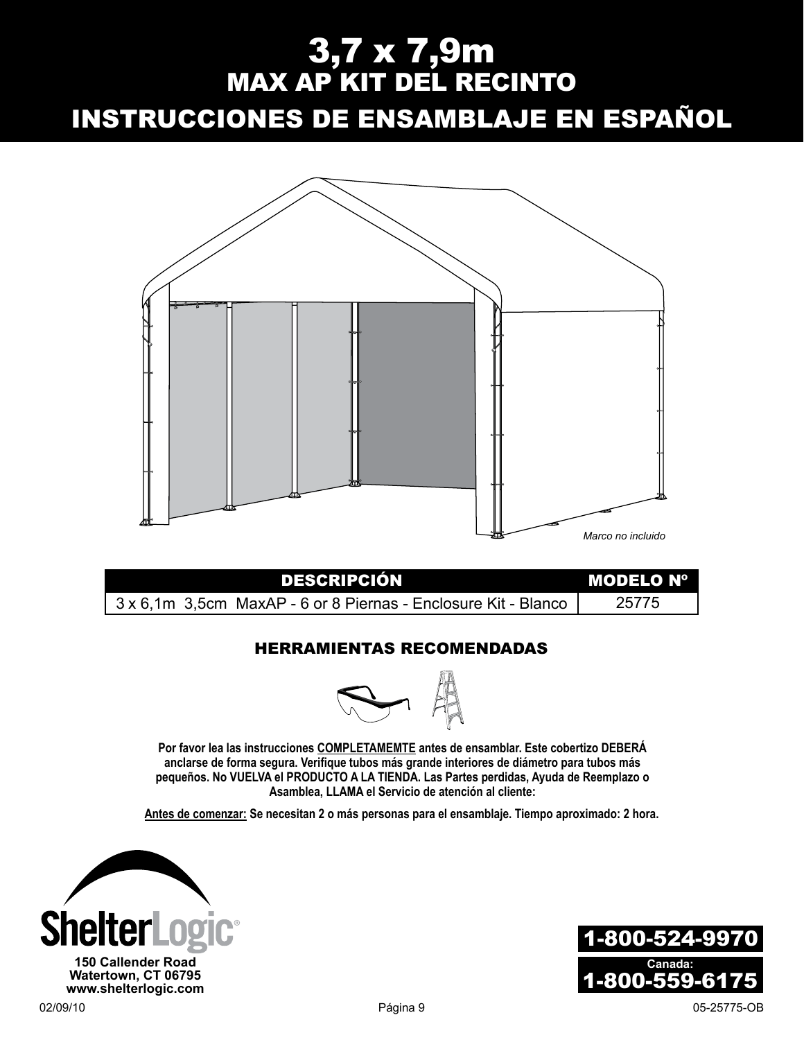# 3,7 x 7,9m MAX AP KIT DEL R

Instrucciones de ensamblaje en espaÑol



| <b>DESCRIPCIÓN</b>                                             | I MODELO Nº |
|----------------------------------------------------------------|-------------|
| 3 x 6,1m 3,5cm MaxAP - 6 or 8 Piernas - Enclosure Kit - Blanco | 25775       |

## Herramientas recomendadas



**Por favor lea las instrucciones COMPLETAMEMTE antes de ensamblar. Este cobertizo DEBERÁ anclarse de forma segura. Verifique tubos más grande interiores de diámetro para tubos más pequeños. No VUELVA el PRODUCTO A LA TIENDA. Las Partes perdidas, Ayuda de Reemplazo o Asamblea, LLAMA el Servicio de atención al cliente:** 

**Antes de comenzar: Se necesitan 2 o más personas para el ensamblaje. Tiempo aproximado: 2 hora.**



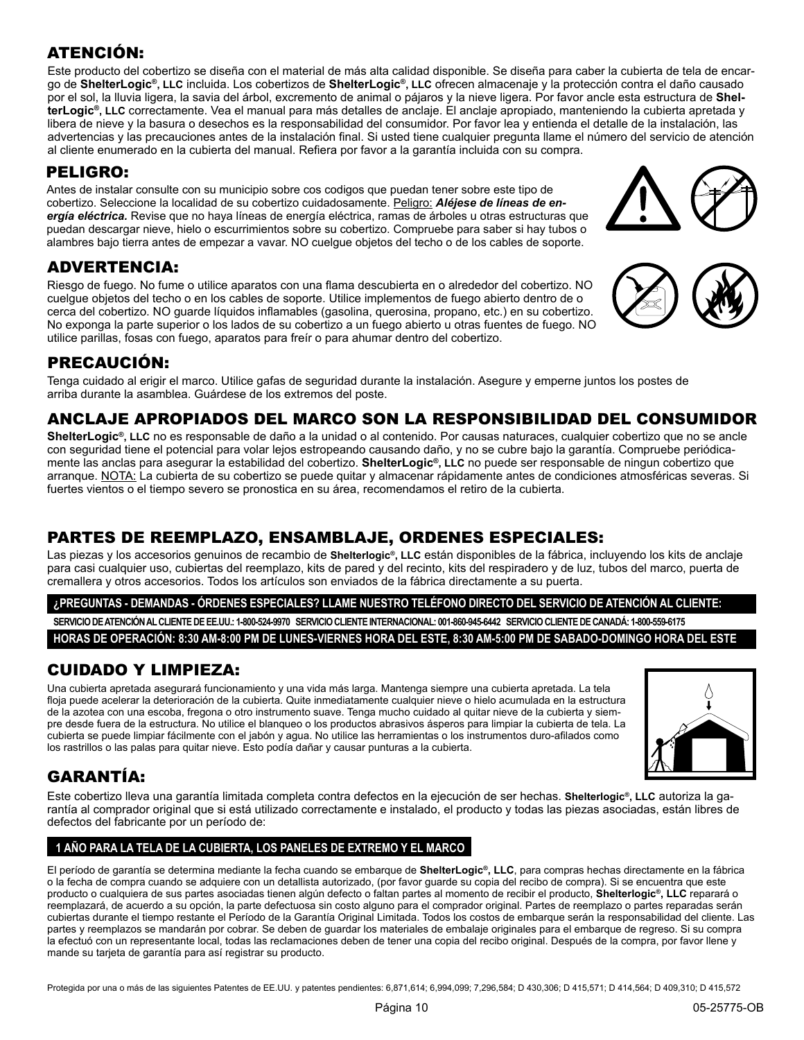## ATENCIÓN:

Este producto del cobertizo se diseña con el material de más alta calidad disponible. Se diseña para caber la cubierta de tela de encargo de **ShelterLogic®, LLC** incluida. Los cobertizos de **ShelterLogic®, LLC** ofrecen almacenaje y la protección contra el daño causado por el sol, la lluvia ligera, la savia del árbol, excremento de animal o pájaros y la nieve ligera. Por favor ancle esta estructura de **ShelterLogic®, LLC** correctamente. Vea el manual para más detalles de anclaje. El anclaje apropiado, manteniendo la cubierta apretada y libera de nieve y la basura o desechos es la responsabilidad del consumidor. Por favor lea y entienda el detalle de la instalación, las advertencias y las precauciones antes de la instalación final. Si usted tiene cualquier pregunta llame el número del servicio de atención al cliente enumerado en la cubierta del manual. Refiera por favor a la garantía incluida con su compra.

## PELIGRO:

Antes de instalar consulte con su municipio sobre cos codigos que puedan tener sobre este tipo de cobertizo. Seleccione la localidad de su cobertizo cuidadosamente. Peligro: *Aléjese de líneas de energía eléctrica.* Revise que no haya líneas de energía eléctrica, ramas de árboles u otras estructuras que puedan descargar nieve, hielo o escurrimientos sobre su cobertizo. Compruebe para saber si hay tubos o alambres bajo tierra antes de empezar a vavar. NO cuelgue objetos del techo o de los cables de soporte.

## ADVERTENCIA:

Riesgo de fuego. No fume o utilice aparatos con una flama descubierta en o alrededor del cobertizo. NO cuelgue objetos del techo o en los cables de soporte. Utilice implementos de fuego abierto dentro de o cerca del cobertizo. NO guarde líquidos inflamables (gasolina, querosina, propano, etc.) en su cobertizo. No exponga la parte superior o los lados de su cobertizo a un fuego abierto u otras fuentes de fuego. NO utilice parillas, fosas con fuego, aparatos para freír o para ahumar dentro del cobertizo.

## PRECAUCIÓN:

Tenga cuidado al erigir el marco. Utilice gafas de seguridad durante la instalación. Asegure y emperne juntos los postes de arriba durante la asamblea. Guárdese de los extremos del poste.

## ANCLAJE APROPIADOS DEL MARCO SON LA RESPONSIBILIDAD DEL CONSUMIDOR

**ShelterLogic®, LLC** no es responsable de daño a la unidad o al contenido. Por causas naturaces, cualquier cobertizo que no se ancle con seguridad tiene el potencial para volar lejos estropeando causando daño, y no se cubre bajo la garantía. Compruebe periódicamente las anclas para asegurar la estabilidad del cobertizo. **ShelterLogic®, LLC** no puede ser responsable de ningun cobertizo que arranque. NOTA: La cubierta de su cobertizo se puede quitar y almacenar rápidamente antes de condiciones atmosféricas severas. Si fuertes vientos o el tiempo severo se pronostica en su área, recomendamos el retiro de la cubierta.

## PARTES DE REEMPLAZO, ENSAMBLAJE, ORDENES ESPECIALES:

Las piezas y los accesorios genuinos de recambio de **Shelterlogic®, LLC** están disponibles de la fábrica, incluyendo los kits de anclaje para casi cualquier uso, cubiertas del reemplazo, kits de pared y del recinto, kits del respiradero y de luz, tubos del marco, puerta de cremallera y otros accesorios. Todos los artículos son enviados de la fábrica directamente a su puerta.

**¿PREGUNTAS - DEMANDAS - ÓRDENES ESPECIALES? LLAME NUESTRO TELÉFONO DIRECTO DEL SERVICIO DE ATENCIÓN AL CLIENTE:** 

**SERVICIO DE ATENCIÓN AL CLIENTE DE EE.UU.: 1-800-524-9970 SERVICIO CLIENTE INTERNACIONAL: 001-860-945-6442 SERVICIO CLIENTE DE CANADÁ: 1-800-559-6175 HORAS DE OPERACIÓN: 8:30 AM-8:00 PM DE LUNES-VIERNES HORA DEL ESTE, 8:30 AM-5:00 PM DE SABADO-DOMINGO HORA DEL ESTE**

## CUIDADO Y LIMPIEZA:

Una cubierta apretada asegurará funcionamiento y una vida más larga. Mantenga siempre una cubierta apretada. La tela floja puede acelerar la deterioración de la cubierta. Quite inmediatamente cualquier nieve o hielo acumulada en la estructura de la azotea con una escoba, fregona o otro instrumento suave. Tenga mucho cuidado al quitar nieve de la cubierta y siempre desde fuera de la estructura. No utilice el blanqueo o los productos abrasivos ásperos para limpiar la cubierta de tela. La cubierta se puede limpiar fácilmente con el jabón y agua. No utilice las herramientas o los instrumentos duro-afilados como los rastrillos o las palas para quitar nieve. Esto podía dañar y causar punturas a la cubierta.

## GARANTÍA:

Este cobertizo lleva una garantía limitada completa contra defectos en la ejecución de ser hechas. **Shelterlogic®, LLC** autoriza la garantía al comprador original que si está utilizado correctamente e instalado, el producto y todas las piezas asociadas, están libres de defectos del fabricante por un período de:

#### **1 AÑO PARA LA TELA DE LA CUBIERTA, LOS PANELES DE EXTREMO Y EL MARCO**

El período de garantía se determina mediante la fecha cuando se embarque de **ShelterLogic®, LLC**, para compras hechas directamente en la fábrica o la fecha de compra cuando se adquiere con un detallista autorizado, (por favor guarde su copia del recibo de compra). Si se encuentra que este producto o cualquiera de sus partes asociadas tienen algún defecto o faltan partes al momento de recibir el producto, **Shelterlogic®, LLC** reparará o reemplazará, de acuerdo a su opción, la parte defectuosa sin costo alguno para el comprador original. Partes de reemplazo o partes reparadas serán cubiertas durante el tiempo restante el Período de la Garantía Original Limitada. Todos los costos de embarque serán la responsabilidad del cliente. Las partes y reemplazos se mandarán por cobrar. Se deben de guardar los materiales de embalaje originales para el embarque de regreso. Si su compra la efectuó con un representante local, todas las reclamaciones deben de tener una copia del recibo original. Después de la compra, por favor llene y mande su tarjeta de garantía para así registrar su producto.

Protegida por una o más de las siguientes Patentes de EE.UU. y patentes pendientes: 6,871,614; 6,994,099; 7,296,584; D 430,306; D 415,571; D 414,564; D 409,310; D 415,572









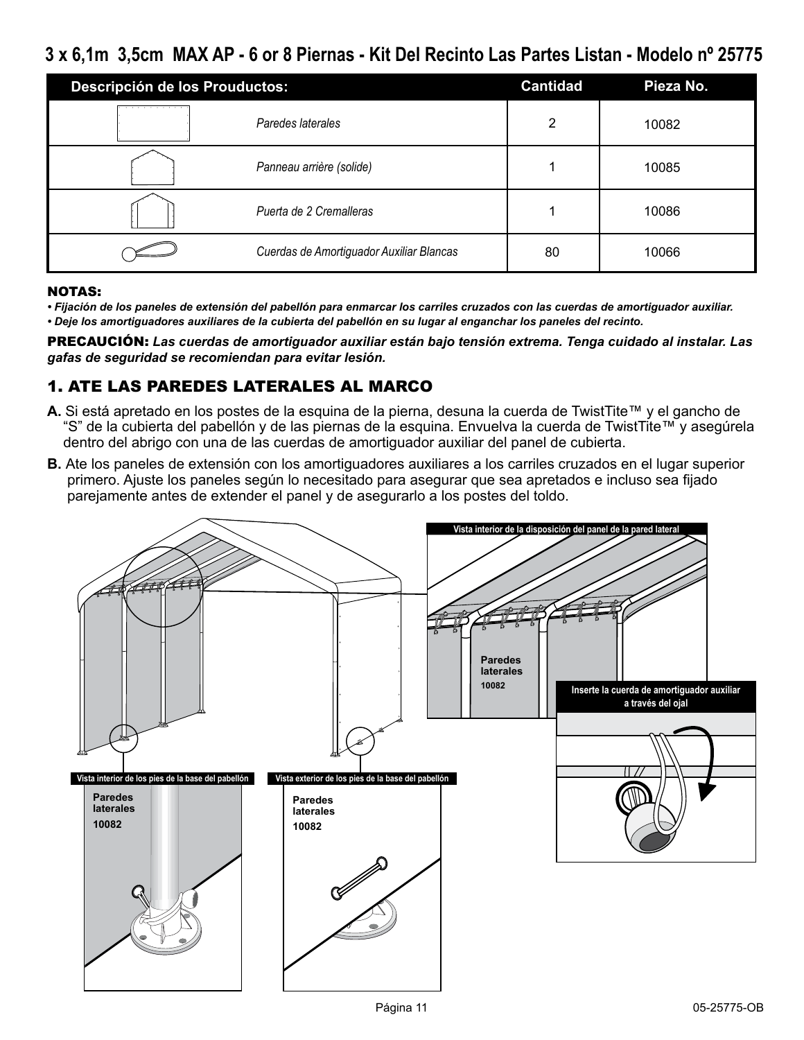## **3 x 6,1m 3,5cm MAX AP - 6 or 8 Piernas - Kit Del Recinto Las Partes Listan - Modelo nº 25775**

| Descripción de los Prouductos: |                                          | <b>Cantidad</b> | Pieza No. |
|--------------------------------|------------------------------------------|-----------------|-----------|
|                                | Paredes laterales                        | ົ               | 10082     |
|                                | Panneau arrière (solide)                 |                 | 10085     |
|                                | Puerta de 2 Cremalleras                  |                 | 10086     |
|                                | Cuerdas de Amortiguador Auxiliar Blancas | 80              | 10066     |

#### NOTAS:

*• Fijación de los paneles de extensión del pabellón para enmarcar los carriles cruzados con las cuerdas de amortiguador auxiliar. • Deje los amortiguadores auxiliares de la cubierta del pabellón en su lugar al enganchar los paneles del recinto.*

PRECAUCIÓN: *Las cuerdas de amortiguador auxiliar están bajo tensión extrema. Tenga cuidado al instalar. Las gafas de seguridad se recomiendan para evitar lesión.*

## 1. ATE LAS PAREDES LATERALES AL MARCO

- **A.** Si está apretado en los postes de la esquina de la pierna, desuna la cuerda de TwistTite™ y el gancho de "S" de la cubierta del pabellón y de las piernas de la esquina. Envuelva la cuerda de TwistTite™ y asegúrela dentro del abrigo con una de las cuerdas de amortiguador auxiliar del panel de cubierta.
- **B.** Ate los paneles de extensión con los amortiguadores auxiliares a los carriles cruzados en el lugar superior primero. Ajuste los paneles según lo necesitado para asegurar que sea apretados e incluso sea fijado parejamente antes de extender el panel y de asegurarlo a los postes del toldo.